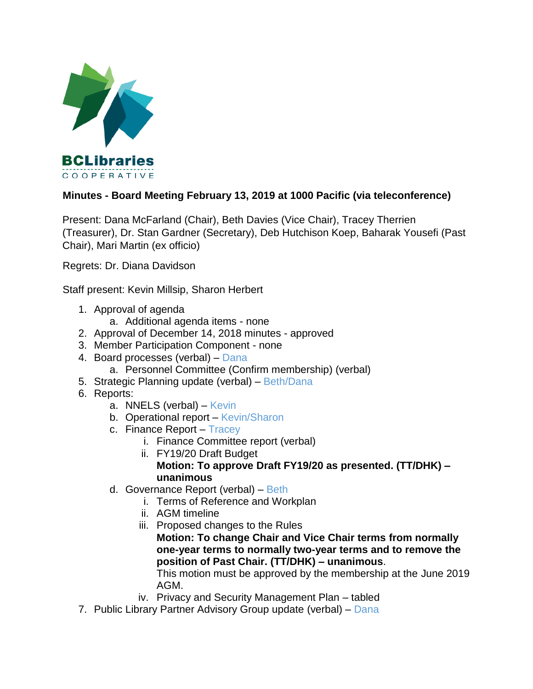

## **Minutes - Board Meeting February 13, 2019 at 1000 Pacific (via teleconference)**

Present: Dana McFarland (Chair), Beth Davies (Vice Chair), Tracey Therrien (Treasurer), Dr. Stan Gardner (Secretary), Deb Hutchison Koep, Baharak Yousefi (Past Chair), Mari Martin (ex officio)

Regrets: Dr. Diana Davidson

Staff present: Kevin Millsip, Sharon Herbert

- 1. Approval of agenda
	- a. Additional agenda items none
- 2. Approval of December 14, 2018 minutes approved
- 3. Member Participation Component none
- 4. Board processes (verbal) Dana
	- a. Personnel Committee (Confirm membership) (verbal)
- 5. Strategic Planning update (verbal) Beth/Dana
- 6. Reports:
	- a. NNELS (verbal) Kevin
	- b. Operational report Kevin/Sharon
	- c. Finance Report Tracey
		- i. Finance Committee report (verbal)
			- ii. FY19/20 Draft Budget **Motion: To approve Draft FY19/20 as presented. (TT/DHK) – unanimous**
	- d. Governance Report (verbal) Beth
		- i. Terms of Reference and Workplan
		- ii. AGM timeline
		- iii. Proposed changes to the Rules **Motion: To change Chair and Vice Chair terms from normally one-year terms to normally two-year terms and to remove the position of Past Chair. (TT/DHK) – unanimous**.

This motion must be approved by the membership at the June 2019 AGM.

- iv. Privacy and Security Management Plan tabled
- 7. Public Library Partner Advisory Group update (verbal) Dana